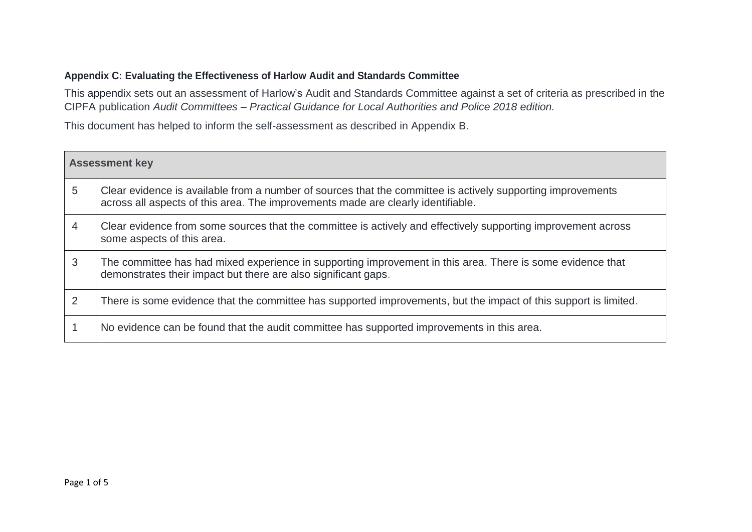## **Appendix C: Evaluating the Effectiveness of Harlow Audit and Standards Committee**

This appendix sets out an assessment of Harlow's Audit and Standards Committee against a set of criteria as prescribed in the CIPFA publication *Audit Committees – Practical Guidance for Local Authorities and Police 2018 edition.*

This document has helped to inform the self-assessment as described in Appendix B.

| <b>Assessment key</b> |                                                                                                                                                                                                 |  |
|-----------------------|-------------------------------------------------------------------------------------------------------------------------------------------------------------------------------------------------|--|
| 5                     | Clear evidence is available from a number of sources that the committee is actively supporting improvements<br>across all aspects of this area. The improvements made are clearly identifiable. |  |
|                       | Clear evidence from some sources that the committee is actively and effectively supporting improvement across<br>some aspects of this area.                                                     |  |
| 3                     | The committee has had mixed experience in supporting improvement in this area. There is some evidence that<br>demonstrates their impact but there are also significant gaps.                    |  |
| 2                     | There is some evidence that the committee has supported improvements, but the impact of this support is limited.                                                                                |  |
|                       | No evidence can be found that the audit committee has supported improvements in this area.                                                                                                      |  |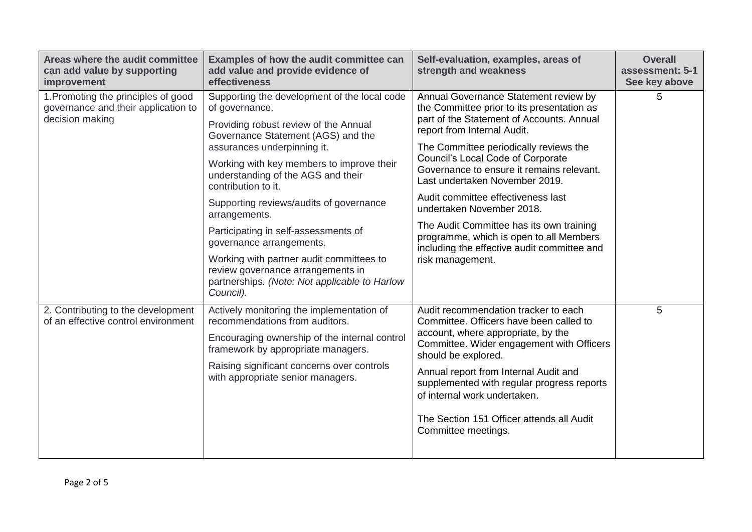| Areas where the audit committee<br>can add value by supporting<br>improvement                 | Examples of how the audit committee can<br>add value and provide evidence of<br>effectiveness                                                                                                                                                                                                                                                                                                                                                                                                                                                                         | Self-evaluation, examples, areas of<br>strength and weakness                                                                                                                                                                                                                                                                                                                                                                                                                                                                                               | <b>Overall</b><br>assessment: 5-1<br>See key above |
|-----------------------------------------------------------------------------------------------|-----------------------------------------------------------------------------------------------------------------------------------------------------------------------------------------------------------------------------------------------------------------------------------------------------------------------------------------------------------------------------------------------------------------------------------------------------------------------------------------------------------------------------------------------------------------------|------------------------------------------------------------------------------------------------------------------------------------------------------------------------------------------------------------------------------------------------------------------------------------------------------------------------------------------------------------------------------------------------------------------------------------------------------------------------------------------------------------------------------------------------------------|----------------------------------------------------|
| 1. Promoting the principles of good<br>governance and their application to<br>decision making | Supporting the development of the local code<br>of governance.<br>Providing robust review of the Annual<br>Governance Statement (AGS) and the<br>assurances underpinning it.<br>Working with key members to improve their<br>understanding of the AGS and their<br>contribution to it.<br>Supporting reviews/audits of governance<br>arrangements.<br>Participating in self-assessments of<br>governance arrangements.<br>Working with partner audit committees to<br>review governance arrangements in<br>partnerships. (Note: Not applicable to Harlow<br>Council). | Annual Governance Statement review by<br>the Committee prior to its presentation as<br>part of the Statement of Accounts. Annual<br>report from Internal Audit.<br>The Committee periodically reviews the<br>Council's Local Code of Corporate<br>Governance to ensure it remains relevant.<br>Last undertaken November 2019.<br>Audit committee effectiveness last<br>undertaken November 2018.<br>The Audit Committee has its own training<br>programme, which is open to all Members<br>including the effective audit committee and<br>risk management. | 5                                                  |
| 2. Contributing to the development<br>of an effective control environment                     | Actively monitoring the implementation of<br>recommendations from auditors.<br>Encouraging ownership of the internal control<br>framework by appropriate managers.<br>Raising significant concerns over controls<br>with appropriate senior managers.                                                                                                                                                                                                                                                                                                                 | Audit recommendation tracker to each<br>Committee. Officers have been called to<br>account, where appropriate, by the<br>Committee. Wider engagement with Officers<br>should be explored.<br>Annual report from Internal Audit and<br>supplemented with regular progress reports<br>of internal work undertaken.<br>The Section 151 Officer attends all Audit<br>Committee meetings.                                                                                                                                                                       | 5                                                  |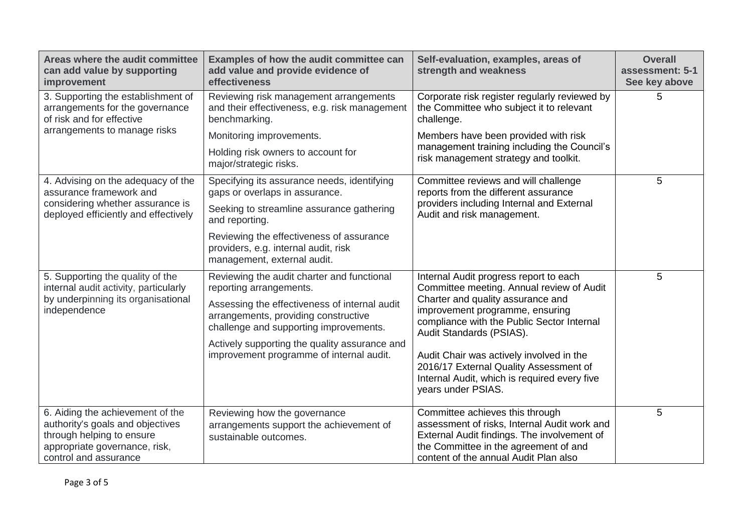| Areas where the audit committee<br>can add value by supporting<br>improvement                                                                               | Examples of how the audit committee can<br>add value and provide evidence of<br>effectiveness                                   | Self-evaluation, examples, areas of<br>strength and weakness                                                                                                                                                     | <b>Overall</b><br>assessment: 5-1<br>See key above |
|-------------------------------------------------------------------------------------------------------------------------------------------------------------|---------------------------------------------------------------------------------------------------------------------------------|------------------------------------------------------------------------------------------------------------------------------------------------------------------------------------------------------------------|----------------------------------------------------|
| 3. Supporting the establishment of<br>arrangements for the governance<br>of risk and for effective                                                          | Reviewing risk management arrangements<br>and their effectiveness, e.g. risk management<br>benchmarking.                        | Corporate risk register regularly reviewed by<br>the Committee who subject it to relevant<br>challenge.                                                                                                          | 5                                                  |
| arrangements to manage risks                                                                                                                                | Monitoring improvements.                                                                                                        | Members have been provided with risk                                                                                                                                                                             |                                                    |
|                                                                                                                                                             | Holding risk owners to account for<br>major/strategic risks.                                                                    | management training including the Council's<br>risk management strategy and toolkit.                                                                                                                             |                                                    |
| 4. Advising on the adequacy of the<br>assurance framework and                                                                                               | Specifying its assurance needs, identifying<br>gaps or overlaps in assurance.                                                   | Committee reviews and will challenge<br>reports from the different assurance                                                                                                                                     | 5                                                  |
| considering whether assurance is<br>deployed efficiently and effectively                                                                                    | Seeking to streamline assurance gathering<br>and reporting.                                                                     | providers including Internal and External<br>Audit and risk management.                                                                                                                                          |                                                    |
|                                                                                                                                                             | Reviewing the effectiveness of assurance<br>providers, e.g. internal audit, risk<br>management, external audit.                 |                                                                                                                                                                                                                  |                                                    |
| 5. Supporting the quality of the<br>internal audit activity, particularly                                                                                   | Reviewing the audit charter and functional<br>reporting arrangements.                                                           | Internal Audit progress report to each<br>Committee meeting. Annual review of Audit                                                                                                                              | 5                                                  |
| by underpinning its organisational<br>independence                                                                                                          | Assessing the effectiveness of internal audit<br>arrangements, providing constructive<br>challenge and supporting improvements. | Charter and quality assurance and<br>improvement programme, ensuring<br>compliance with the Public Sector Internal<br>Audit Standards (PSIAS).                                                                   |                                                    |
|                                                                                                                                                             | Actively supporting the quality assurance and<br>improvement programme of internal audit.                                       | Audit Chair was actively involved in the<br>2016/17 External Quality Assessment of<br>Internal Audit, which is required every five<br>years under PSIAS.                                                         |                                                    |
| 6. Aiding the achievement of the<br>authority's goals and objectives<br>through helping to ensure<br>appropriate governance, risk,<br>control and assurance | Reviewing how the governance<br>arrangements support the achievement of<br>sustainable outcomes.                                | Committee achieves this through<br>assessment of risks, Internal Audit work and<br>External Audit findings. The involvement of<br>the Committee in the agreement of and<br>content of the annual Audit Plan also | 5                                                  |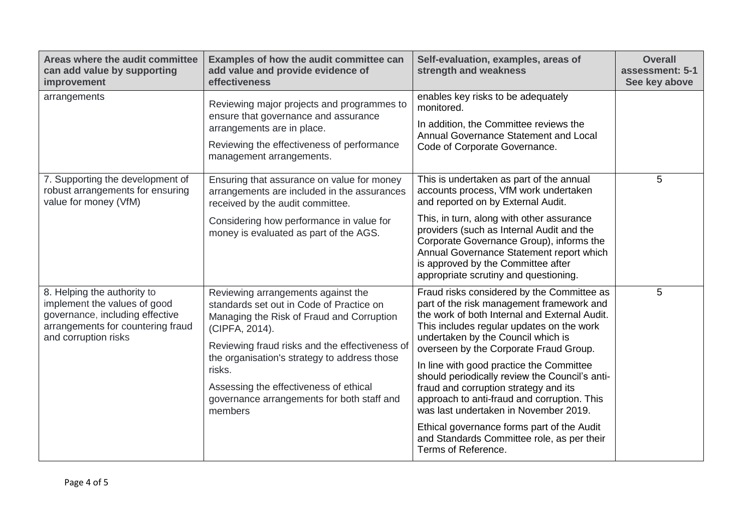| Areas where the audit committee<br>can add value by supporting<br>improvement                                                                               | Examples of how the audit committee can<br>add value and provide evidence of<br>effectiveness                                                                                                                                                                                                                                                                | Self-evaluation, examples, areas of<br>strength and weakness                                                                                                                                                                                                                                                                                                                                                                                                                                                                                                                                                            | <b>Overall</b><br>assessment: 5-1<br>See key above |
|-------------------------------------------------------------------------------------------------------------------------------------------------------------|--------------------------------------------------------------------------------------------------------------------------------------------------------------------------------------------------------------------------------------------------------------------------------------------------------------------------------------------------------------|-------------------------------------------------------------------------------------------------------------------------------------------------------------------------------------------------------------------------------------------------------------------------------------------------------------------------------------------------------------------------------------------------------------------------------------------------------------------------------------------------------------------------------------------------------------------------------------------------------------------------|----------------------------------------------------|
| arrangements                                                                                                                                                | Reviewing major projects and programmes to<br>ensure that governance and assurance<br>arrangements are in place.<br>Reviewing the effectiveness of performance<br>management arrangements.                                                                                                                                                                   | enables key risks to be adequately<br>monitored.<br>In addition, the Committee reviews the<br>Annual Governance Statement and Local<br>Code of Corporate Governance.                                                                                                                                                                                                                                                                                                                                                                                                                                                    |                                                    |
| 7. Supporting the development of<br>robust arrangements for ensuring<br>value for money (VfM)                                                               | Ensuring that assurance on value for money<br>arrangements are included in the assurances<br>received by the audit committee.<br>Considering how performance in value for<br>money is evaluated as part of the AGS.                                                                                                                                          | This is undertaken as part of the annual<br>accounts process, VfM work undertaken<br>and reported on by External Audit.<br>This, in turn, along with other assurance<br>providers (such as Internal Audit and the<br>Corporate Governance Group), informs the<br>Annual Governance Statement report which<br>is approved by the Committee after<br>appropriate scrutiny and questioning.                                                                                                                                                                                                                                | 5                                                  |
| 8. Helping the authority to<br>implement the values of good<br>governance, including effective<br>arrangements for countering fraud<br>and corruption risks | Reviewing arrangements against the<br>standards set out in Code of Practice on<br>Managing the Risk of Fraud and Corruption<br>(CIPFA, 2014).<br>Reviewing fraud risks and the effectiveness of<br>the organisation's strategy to address those<br>risks.<br>Assessing the effectiveness of ethical<br>governance arrangements for both staff and<br>members | Fraud risks considered by the Committee as<br>part of the risk management framework and<br>the work of both Internal and External Audit.<br>This includes regular updates on the work<br>undertaken by the Council which is<br>overseen by the Corporate Fraud Group.<br>In line with good practice the Committee<br>should periodically review the Council's anti-<br>fraud and corruption strategy and its<br>approach to anti-fraud and corruption. This<br>was last undertaken in November 2019.<br>Ethical governance forms part of the Audit<br>and Standards Committee role, as per their<br>Terms of Reference. | 5                                                  |